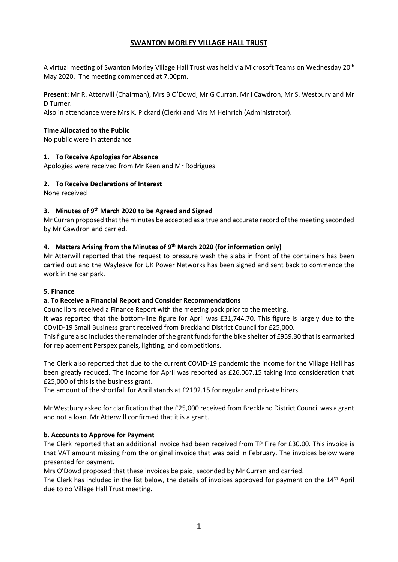## **SWANTON MORLEY VILLAGE HALL TRUST**

A virtual meeting of Swanton Morley Village Hall Trust was held via Microsoft Teams on Wednesday 20th May 2020. The meeting commenced at 7.00pm.

**Present:** Mr R. Atterwill (Chairman), Mrs B O'Dowd, Mr G Curran, Mr I Cawdron, Mr S. Westbury and Mr D Turner.

Also in attendance were Mrs K. Pickard (Clerk) and Mrs M Heinrich (Administrator).

#### **Time Allocated to the Public**

No public were in attendance

#### **1. To Receive Apologies for Absence**

Apologies were received from Mr Keen and Mr Rodrigues

#### **2. To Receive Declarations of Interest**

None received

## **3. Minutes of 9 th March 2020 to be Agreed and Signed**

Mr Curran proposed that the minutes be accepted as a true and accurate record of the meeting seconded by Mr Cawdron and carried.

## **4. Matters Arising from the Minutes of 9 th March 2020 (for information only)**

Mr Atterwill reported that the request to pressure wash the slabs in front of the containers has been carried out and the Wayleave for UK Power Networks has been signed and sent back to commence the work in the car park.

#### **5. Finance**

## **a. To Receive a Financial Report and Consider Recommendations**

Councillors received a Finance Report with the meeting pack prior to the meeting.

It was reported that the bottom-line figure for April was £31,744.70. This figure is largely due to the COVID-19 Small Business grant received from Breckland District Council for £25,000.

This figure also includes the remainder of the grant funds for the bike shelter of £959.30 that is earmarked for replacement Perspex panels, lighting, and competitions.

The Clerk also reported that due to the current COVID-19 pandemic the income for the Village Hall has been greatly reduced. The income for April was reported as £26,067.15 taking into consideration that £25,000 of this is the business grant.

The amount of the shortfall for April stands at £2192.15 for regular and private hirers.

Mr Westbury asked for clarification that the £25,000 received from Breckland District Council was a grant and not a loan. Mr Atterwill confirmed that it is a grant.

## **b. Accounts to Approve for Payment**

The Clerk reported that an additional invoice had been received from TP Fire for £30.00. This invoice is that VAT amount missing from the original invoice that was paid in February. The invoices below were presented for payment.

Mrs O'Dowd proposed that these invoices be paid, seconded by Mr Curran and carried.

The Clerk has included in the list below, the details of invoices approved for payment on the 14th April due to no Village Hall Trust meeting.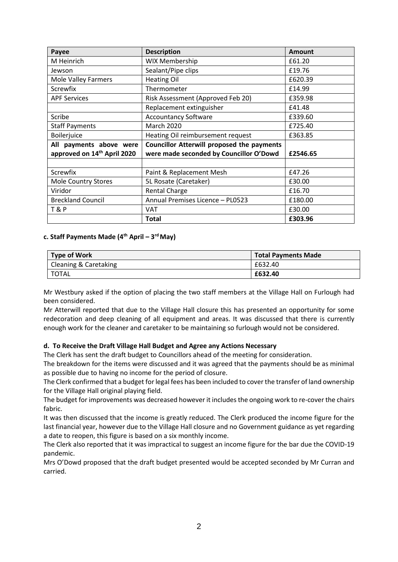| Payee                                   | <b>Description</b>                                | <b>Amount</b> |
|-----------------------------------------|---------------------------------------------------|---------------|
| M Heinrich                              | <b>WIX Membership</b>                             | £61.20        |
| Jewson                                  | Sealant/Pipe clips                                | £19.76        |
| Mole Valley Farmers                     | <b>Heating Oil</b>                                | £620.39       |
| Screwfix                                | Thermometer                                       | £14.99        |
| <b>APF Services</b>                     | Risk Assessment (Approved Feb 20)                 | £359.98       |
|                                         | Replacement extinguisher                          | £41.48        |
| Scribe                                  | <b>Accountancy Software</b>                       | £339.60       |
| <b>Staff Payments</b>                   | <b>March 2020</b>                                 | £725.40       |
| Boilerjuice                             | Heating Oil reimbursement request                 | £363.85       |
| All payments above were                 | <b>Councillor Atterwill proposed the payments</b> |               |
| approved on 14 <sup>th</sup> April 2020 | were made seconded by Councillor O'Dowd           | £2546.65      |
|                                         |                                                   |               |
| Screwfix                                | Paint & Replacement Mesh                          | £47.26        |
| <b>Mole Country Stores</b>              | 5L Rosate (Caretaker)                             | £30.00        |
| Viridor                                 | <b>Rental Charge</b>                              | £16.70        |
| <b>Breckland Council</b>                | Annual Premises Licence - PL0523                  | £180.00       |
| <b>T&amp;P</b>                          | <b>VAT</b>                                        | £30.00        |
|                                         | <b>Total</b>                                      | £303.96       |

#### **c. Staff Payments Made (4 th April – 3 rd May)**

| Type of Work          | <b>Total Payments Made</b> |
|-----------------------|----------------------------|
| Cleaning & Caretaking | £632.40                    |
| TOTAL                 | £632.40                    |

Mr Westbury asked if the option of placing the two staff members at the Village Hall on Furlough had been considered.

Mr Atterwill reported that due to the Village Hall closure this has presented an opportunity for some redecoration and deep cleaning of all equipment and areas. It was discussed that there is currently enough work for the cleaner and caretaker to be maintaining so furlough would not be considered.

#### **d. To Receive the Draft Village Hall Budget and Agree any Actions Necessary**

The Clerk has sent the draft budget to Councillors ahead of the meeting for consideration.

The breakdown for the items were discussed and it was agreed that the payments should be as minimal as possible due to having no income for the period of closure.

The Clerk confirmed that a budget for legal fees has been included to cover the transfer of land ownership for the Village Hall original playing field.

The budget for improvements was decreased however it includes the ongoing work to re-cover the chairs fabric.

It was then discussed that the income is greatly reduced. The Clerk produced the income figure for the last financial year, however due to the Village Hall closure and no Government guidance as yet regarding a date to reopen, this figure is based on a six monthly income.

The Clerk also reported that it was impractical to suggest an income figure for the bar due the COVID-19 pandemic.

Mrs O'Dowd proposed that the draft budget presented would be accepted seconded by Mr Curran and carried.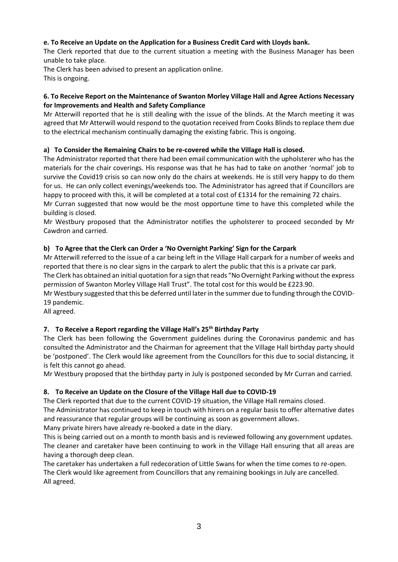## **e. To Receive an Update on the Application for a Business Credit Card with Lloyds bank.**

The Clerk reported that due to the current situation a meeting with the Business Manager has been unable to take place.

The Clerk has been advised to present an application online. This is ongoing.

#### **6. To Receive Report on the Maintenance of Swanton Morley Village Hall and Agree Actions Necessary for Improvements and Health and Safety Compliance**

Mr Atterwill reported that he is still dealing with the issue of the blinds. At the March meeting it was agreed that Mr Atterwill would respond to the quotation received from Cooks Blinds to replace them due to the electrical mechanism continually damaging the existing fabric. This is ongoing.

# **a) To Consider the Remaining Chairs to be re-covered while the Village Hall is closed.**

The Administrator reported that there had been email communication with the upholsterer who has the materials for the chair coverings. His response was that he has had to take on another 'normal' job to survive the Covid19 crisis so can now only do the chairs at weekends. He is still very happy to do them for us. He can only collect evenings/weekends too. The Administrator has agreed that if Councillors are happy to proceed with this, it will be completed at a total cost of £1314 for the remaining 72 chairs.

Mr Curran suggested that now would be the most opportune time to have this completed while the building is closed.

Mr Westbury proposed that the Administrator notifies the upholsterer to proceed seconded by Mr Cawdron and carried.

## **b) To Agree that the Clerk can Order a 'No Overnight Parking' Sign for the Carpark**

Mr Atterwill referred to the issue of a car being left in the Village Hall carpark for a number of weeks and reported that there is no clear signs in the carpark to alert the public that this is a private car park.

The Clerk has obtained an initial quotation for a sign that reads "No Overnight Parking without the express permission of Swanton Morley Village Hall Trust". The total cost for this would be £223.90.

Mr Westbury suggested that this be deferred until later in the summer due to funding through the COVID-19 pandemic.

All agreed.

## **7. To Receive a Report regarding the Village Hall's 25th Birthday Party**

The Clerk has been following the Government guidelines during the Coronavirus pandemic and has consulted the Administrator and the Chairman for agreement that the Village Hall birthday party should be 'postponed'. The Clerk would like agreement from the Councillors for this due to social distancing, it is felt this cannot go ahead.

Mr Westbury proposed that the birthday party in July is postponed seconded by Mr Curran and carried.

## **8. To Receive an Update on the Closure of the Village Hall due to COVID-19**

The Clerk reported that due to the current COVID-19 situation, the Village Hall remains closed.

The Administrator has continued to keep in touch with hirers on a regular basis to offer alternative dates and reassurance that regular groups will be continuing as soon as government allows.

Many private hirers have already re-booked a date in the diary.

This is being carried out on a month to month basis and is reviewed following any government updates. The cleaner and caretaker have been continuing to work in the Village Hall ensuring that all areas are having a thorough deep clean.

The caretaker has undertaken a full redecoration of Little Swans for when the time comes to re-open. The Clerk would like agreement from Councillors that any remaining bookings in July are cancelled. All agreed.